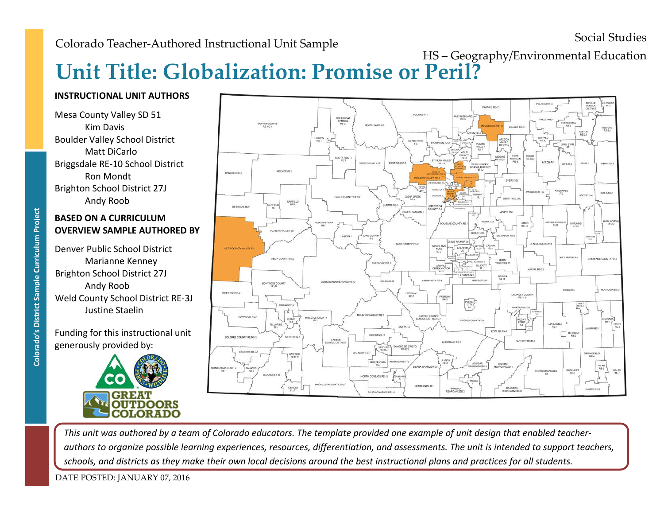# **Unit Title: Globalization: Promise or Peril?** HS – Geography/Environmental Education

## **INSTRUCTIONAL UNIT AUTHORS**

Mesa County Valley SD 51 Kim Davis Boulder Valley School District Matt DiCarlo Briggsdale RE-10 School District Ron Mondt Brighton School District 27J Andy Roob

## **BASED ON A CURRICULUM OVERVIEW SAMPLE AUTHORED BY**

Denver Public School District Marianne Kenney BASED ON A CURRICULUM<br>
OVERVIEW SAMPLE AUTHC<br>
Denver Public School District<br>
Marianne Kenney<br>
Brighton School District 27J<br>
Andy Roob<br>
Weld County School District<br>
Justine Staelin<br>
Funding for this instructional<br>
generousl Andy Roob Weld County School District RE-3J Justine Staelin

Funding for this instructional unit generously provided by:





*This unit was authored by a team of Colorado educators. The template provided one example of unit design that enabled teacherauthors to organize possible learning experiences, resources, differentiation, and assessments. The unit is intended to support teachers, schools, and districts as they make their own local decisions around the best instructional plans and practices for all students.*

DATE POSTED: JANUARY 07, 2016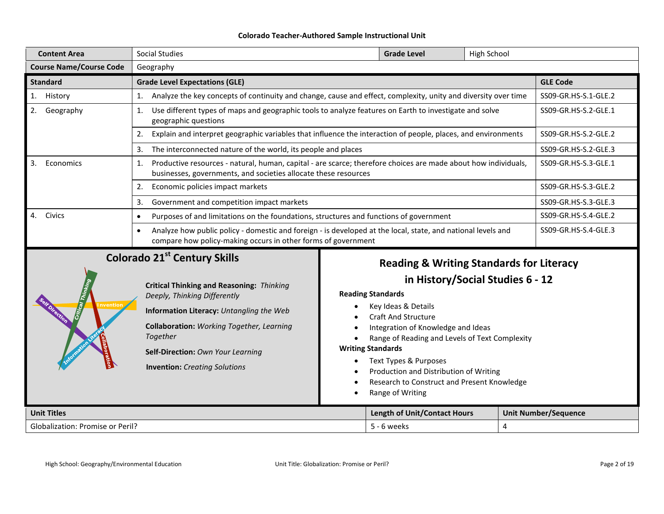| <b>Content Area</b>                         | <b>Social Studies</b>                                                                                                                                                                                                                                                                             |                                                      | <b>Grade Level</b>                                                                                                                                                                                                                                                                                                  | High School          |                      |                             |
|---------------------------------------------|---------------------------------------------------------------------------------------------------------------------------------------------------------------------------------------------------------------------------------------------------------------------------------------------------|------------------------------------------------------|---------------------------------------------------------------------------------------------------------------------------------------------------------------------------------------------------------------------------------------------------------------------------------------------------------------------|----------------------|----------------------|-----------------------------|
| <b>Course Name/Course Code</b><br>Geography |                                                                                                                                                                                                                                                                                                   |                                                      |                                                                                                                                                                                                                                                                                                                     |                      |                      |                             |
| <b>Standard</b>                             | <b>Grade Level Expectations (GLE)</b>                                                                                                                                                                                                                                                             |                                                      |                                                                                                                                                                                                                                                                                                                     |                      |                      | <b>GLE Code</b>             |
| 1. History                                  | Analyze the key concepts of continuity and change, cause and effect, complexity, unity and diversity over time<br>1.                                                                                                                                                                              |                                                      |                                                                                                                                                                                                                                                                                                                     |                      |                      | SS09-GR.HS-S.1-GLE.2        |
| 2.<br>Geography                             | Use different types of maps and geographic tools to analyze features on Earth to investigate and solve<br>1.<br>geographic questions                                                                                                                                                              |                                                      |                                                                                                                                                                                                                                                                                                                     | SS09-GR.HS-S.2-GLE.1 |                      |                             |
|                                             | Explain and interpret geographic variables that influence the interaction of people, places, and environments<br>2.                                                                                                                                                                               |                                                      |                                                                                                                                                                                                                                                                                                                     |                      |                      | SS09-GR.HS-S.2-GLE.2        |
|                                             | The interconnected nature of the world, its people and places<br>3.                                                                                                                                                                                                                               |                                                      |                                                                                                                                                                                                                                                                                                                     |                      |                      | SS09-GR.HS-S.2-GLE.3        |
| 3.<br>Economics                             | Productive resources - natural, human, capital - are scarce; therefore choices are made about how individuals,<br>1.<br>businesses, governments, and societies allocate these resources                                                                                                           |                                                      |                                                                                                                                                                                                                                                                                                                     |                      |                      | SS09-GR.HS-S.3-GLE.1        |
|                                             | Economic policies impact markets<br>2.                                                                                                                                                                                                                                                            |                                                      |                                                                                                                                                                                                                                                                                                                     |                      |                      | SS09-GR.HS-S.3-GLE.2        |
|                                             | Government and competition impact markets<br>3.                                                                                                                                                                                                                                                   |                                                      |                                                                                                                                                                                                                                                                                                                     |                      |                      | SS09-GR.HS-S.3-GLE.3        |
| 4.<br>Civics                                | Purposes of and limitations on the foundations, structures and functions of government<br>$\bullet$<br>Analyze how public policy - domestic and foreign - is developed at the local, state, and national levels and<br>$\bullet$<br>compare how policy-making occurs in other forms of government |                                                      |                                                                                                                                                                                                                                                                                                                     | SS09-GR.HS-S.4-GLE.2 |                      |                             |
|                                             |                                                                                                                                                                                                                                                                                                   |                                                      |                                                                                                                                                                                                                                                                                                                     |                      | SS09-GR.HS-S.4-GLE.3 |                             |
|                                             | <b>Colorado 21st Century Skills</b>                                                                                                                                                                                                                                                               |                                                      | <b>Reading &amp; Writing Standards for Literacy</b>                                                                                                                                                                                                                                                                 |                      |                      |                             |
| nventior                                    | <b>Critical Thinking and Reasoning: Thinking</b><br>Deeply, Thinking Differently<br>Information Literacy: Untangling the Web<br>Collaboration: Working Together, Learning<br>Together<br>Self-Direction: Own Your Learning<br><b>Invention:</b> Creating Solutions                                | <b>Reading Standards</b><br><b>Writing Standards</b> | in History/Social Studies 6 - 12<br>Key Ideas & Details<br><b>Craft And Structure</b><br>Integration of Knowledge and Ideas<br>Range of Reading and Levels of Text Complexity<br>Text Types & Purposes<br>Production and Distribution of Writing<br>Research to Construct and Present Knowledge<br>Range of Writing |                      |                      |                             |
| <b>Unit Titles</b>                          |                                                                                                                                                                                                                                                                                                   |                                                      | <b>Length of Unit/Contact Hours</b>                                                                                                                                                                                                                                                                                 |                      |                      | <b>Unit Number/Sequence</b> |
| <b>Globalization: Promise or Peril?</b>     |                                                                                                                                                                                                                                                                                                   |                                                      | $5 - 6$ weeks                                                                                                                                                                                                                                                                                                       |                      | 4                    |                             |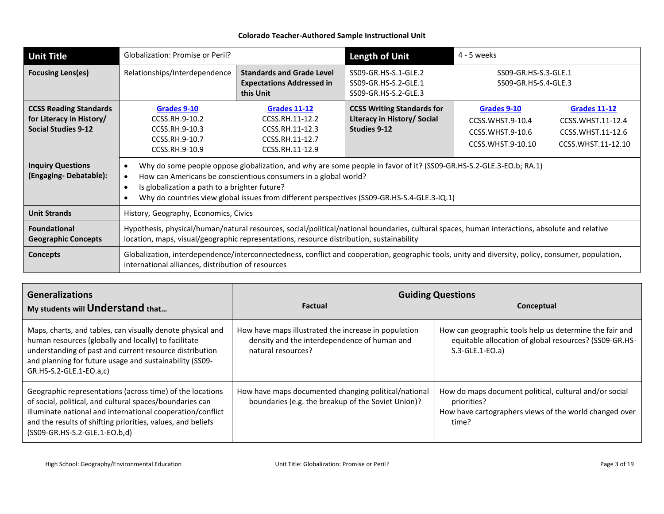| <b>Unit Title</b>                                                                       | Globalization: Promise or Peril?                                                                                                                                                                                                                                                                                                                                |                                                                                                 | <b>Length of Unit</b>                                                            | 4 - 5 weeks                                                                                                                                                                |
|-----------------------------------------------------------------------------------------|-----------------------------------------------------------------------------------------------------------------------------------------------------------------------------------------------------------------------------------------------------------------------------------------------------------------------------------------------------------------|-------------------------------------------------------------------------------------------------|----------------------------------------------------------------------------------|----------------------------------------------------------------------------------------------------------------------------------------------------------------------------|
| <b>Focusing Lens(es)</b>                                                                | Relationships/Interdependence                                                                                                                                                                                                                                                                                                                                   | <b>Standards and Grade Level</b><br><b>Expectations Addressed in</b><br>this Unit               | SS09-GR.HS-S.1-GLE.2<br>SS09-GR.HS-S.2-GLE.1<br>SS09-GR.HS-S.2-GLE.3             | SS09-GR.HS-S.3-GLE.1<br>SS09-GR.HS-S.4-GLE.3                                                                                                                               |
| <b>CCSS Reading Standards</b><br>for Literacy in History/<br><b>Social Studies 9-12</b> | Grades 9-10<br>CCSS.RH.9-10.2<br>CCSS.RH.9-10.3<br>CCSS.RH.9-10.7<br>CCSS.RH.9-10.9                                                                                                                                                                                                                                                                             | <b>Grades 11-12</b><br>CCSS.RH.11-12.2<br>CCSS.RH.11-12.3<br>CCSS.RH.11-12.7<br>CCSS.RH.11-12.9 | <b>CCSS Writing Standards for</b><br>Literacy in History/ Social<br>Studies 9-12 | <b>Grades 9-10</b><br><b>Grades 11-12</b><br>CCSS. WHST. 9-10.4<br>CCSS.WHST.11-12.4<br>CCSS. WHST. 9-10.6<br>CCSS.WHST.11-12.6<br>CCSS.WHST.9-10.10<br>CCSS.WHST.11-12.10 |
| <b>Inquiry Questions</b><br>(Engaging-Debatable):                                       | Why do some people oppose globalization, and why are some people in favor of it? (SS09-GR.HS-S.2-GLE.3-EO.b; RA.1)<br>$\bullet$<br>How can Americans be conscientious consumers in a global world?<br>$\bullet$<br>Is globalization a path to a brighter future?<br>Why do countries view global issues from different perspectives (SS09-GR.HS-S.4-GLE.3-IQ.1) |                                                                                                 |                                                                                  |                                                                                                                                                                            |
| <b>Unit Strands</b>                                                                     | History, Geography, Economics, Civics                                                                                                                                                                                                                                                                                                                           |                                                                                                 |                                                                                  |                                                                                                                                                                            |
| <b>Foundational</b><br><b>Geographic Concepts</b>                                       | Hypothesis, physical/human/natural resources, social/political/national boundaries, cultural spaces, human interactions, absolute and relative<br>location, maps, visual/geographic representations, resource distribution, sustainability                                                                                                                      |                                                                                                 |                                                                                  |                                                                                                                                                                            |
| <b>Concepts</b>                                                                         | Globalization, interdependence/interconnectedness, conflict and cooperation, geographic tools, unity and diversity, policy, consumer, population,<br>international alliances, distribution of resources                                                                                                                                                         |                                                                                                 |                                                                                  |                                                                                                                                                                            |

| <b>Generalizations</b>                                                                                                                                                                                                                                                              | <b>Guiding Questions</b>                                                                                                   |                                                                                                                                          |  |  |
|-------------------------------------------------------------------------------------------------------------------------------------------------------------------------------------------------------------------------------------------------------------------------------------|----------------------------------------------------------------------------------------------------------------------------|------------------------------------------------------------------------------------------------------------------------------------------|--|--|
| My students will Understand that                                                                                                                                                                                                                                                    | <b>Factual</b>                                                                                                             | Conceptual                                                                                                                               |  |  |
| Maps, charts, and tables, can visually denote physical and<br>human resources (globally and locally) to facilitate<br>understanding of past and current resource distribution<br>and planning for future usage and sustainability (SS09-<br>GR.HS-S.2-GLE.1-EO.a,c)                 | How have maps illustrated the increase in population<br>density and the interdependence of human and<br>natural resources? | How can geographic tools help us determine the fair and<br>equitable allocation of global resources? (SS09-GR.HS-<br>$S.3-GLE.1-EO.a)$   |  |  |
| Geographic representations (across time) of the locations<br>of social, political, and cultural spaces/boundaries can<br>illuminate national and international cooperation/conflict<br>and the results of shifting priorities, values, and beliefs<br>(SS09-GR.HS-S.2-GLE.1-EO.b,d) | How have maps documented changing political/national<br>boundaries (e.g. the breakup of the Soviet Union)?                 | How do maps document political, cultural and/or social<br>priorities?<br>How have cartographers views of the world changed over<br>time? |  |  |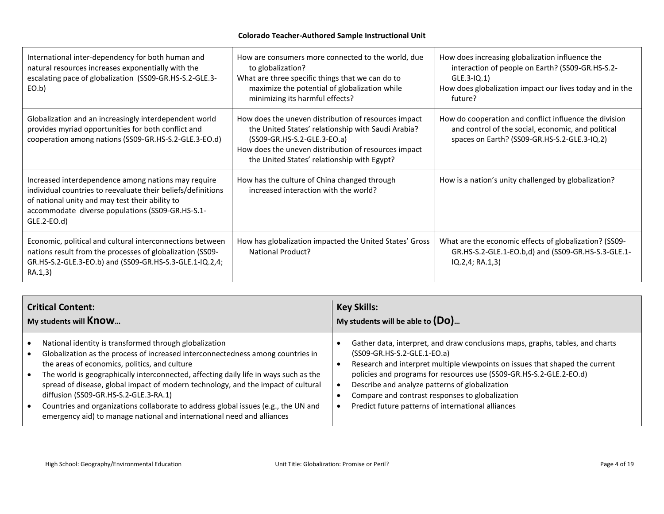| International inter-dependency for both human and<br>natural resources increases exponentially with the<br>escalating pace of globalization (SS09-GR.HS-S.2-GLE.3-<br>EO.b)                                                                 | How are consumers more connected to the world, due<br>to globalization?<br>What are three specific things that we can do to<br>maximize the potential of globalization while<br>minimizing its harmful effects?                                  | How does increasing globalization influence the<br>interaction of people on Earth? (SS09-GR.HS-S.2-<br>$GLE.3-IQ.1$<br>How does globalization impact our lives today and in the<br>future? |
|---------------------------------------------------------------------------------------------------------------------------------------------------------------------------------------------------------------------------------------------|--------------------------------------------------------------------------------------------------------------------------------------------------------------------------------------------------------------------------------------------------|--------------------------------------------------------------------------------------------------------------------------------------------------------------------------------------------|
| Globalization and an increasingly interdependent world<br>provides myriad opportunities for both conflict and<br>cooperation among nations (SS09-GR.HS-S.2-GLE.3-EO.d)                                                                      | How does the uneven distribution of resources impact<br>the United States' relationship with Saudi Arabia?<br>(SS09-GR.HS-S.2-GLE.3-EO.a)<br>How does the uneven distribution of resources impact<br>the United States' relationship with Egypt? | How do cooperation and conflict influence the division<br>and control of the social, economic, and political<br>spaces on Earth? (SS09-GR.HS-S.2-GLE.3-IQ.2)                               |
| Increased interdependence among nations may require<br>individual countries to reevaluate their beliefs/definitions<br>of national unity and may test their ability to<br>accommodate diverse populations (SS09-GR.HS-S.1-<br>$GLE.2-EO.d)$ | How has the culture of China changed through<br>increased interaction with the world?                                                                                                                                                            | How is a nation's unity challenged by globalization?                                                                                                                                       |
| Economic, political and cultural interconnections between<br>nations result from the processes of globalization (SS09-<br>GR.HS-S.2-GLE.3-EO.b) and (SS09-GR.HS-S.3-GLE.1-IQ.2,4;<br>RA.1,3)                                                | How has globalization impacted the United States' Gross<br>National Product?                                                                                                                                                                     | What are the economic effects of globalization? (SS09-<br>GR.HS-S.2-GLE.1-EO.b,d) and (SS09-GR.HS-S.3-GLE.1-<br>IQ.2,4; RA.1,3)                                                            |

| <b>Critical Content:</b>                                                                                                                                                                                                                                                                                                                                                                                                                                                                                                                                                                                                             | <b>Key Skills:</b>                                                                                                                                                                                                                                                                                                                                                                                                             |
|--------------------------------------------------------------------------------------------------------------------------------------------------------------------------------------------------------------------------------------------------------------------------------------------------------------------------------------------------------------------------------------------------------------------------------------------------------------------------------------------------------------------------------------------------------------------------------------------------------------------------------------|--------------------------------------------------------------------------------------------------------------------------------------------------------------------------------------------------------------------------------------------------------------------------------------------------------------------------------------------------------------------------------------------------------------------------------|
| My students will Know                                                                                                                                                                                                                                                                                                                                                                                                                                                                                                                                                                                                                | My students will be able to $(D_0)$                                                                                                                                                                                                                                                                                                                                                                                            |
| National identity is transformed through globalization<br>$\bullet$<br>Globalization as the process of increased interconnectedness among countries in<br>$\bullet$<br>the areas of economics, politics, and culture<br>The world is geographically interconnected, affecting daily life in ways such as the<br>$\bullet$<br>spread of disease, global impact of modern technology, and the impact of cultural<br>diffusion (SS09-GR.HS-S.2-GLE.3-RA.1)<br>Countries and organizations collaborate to address global issues (e.g., the UN and<br>$\bullet$<br>emergency aid) to manage national and international need and alliances | Gather data, interpret, and draw conclusions maps, graphs, tables, and charts<br>(SS09-GR.HS-S.2-GLE.1-EO.a)<br>Research and interpret multiple viewpoints on issues that shaped the current<br>policies and programs for resources use (SS09-GR.HS-S.2-GLE.2-EO.d)<br>Describe and analyze patterns of globalization<br>Compare and contrast responses to globalization<br>Predict future patterns of international alliances |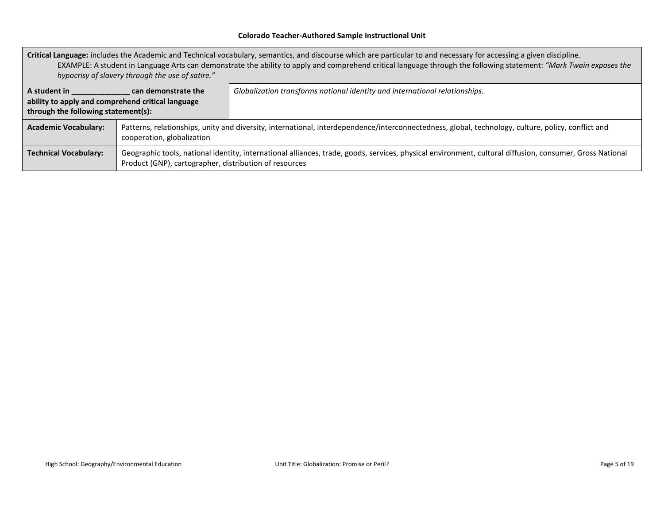**Critical Language:** includes the Academic and Technical vocabulary, semantics, and discourse which are particular to and necessary for accessing a given discipline. EXAMPLE: A student in Language Arts can demonstrate the ability to apply and comprehend critical language through the following statement: *"Mark Twain exposes the hypocrisy of slavery through the use of satire."*

| A student in<br>ability to apply and comprehend critical language<br>through the following statement(s): | can demonstrate the                                                                                                                                                              | Globalization transforms national identity and international relationships.                                                                              |
|----------------------------------------------------------------------------------------------------------|----------------------------------------------------------------------------------------------------------------------------------------------------------------------------------|----------------------------------------------------------------------------------------------------------------------------------------------------------|
| <b>Academic Vocabulary:</b>                                                                              | Patterns, relationships, unity and diversity, international, interdependence/interconnectedness, global, technology, culture, policy, conflict and<br>cooperation, globalization |                                                                                                                                                          |
| <b>Technical Vocabulary:</b>                                                                             | Product (GNP), cartographer, distribution of resources                                                                                                                           | Geographic tools, national identity, international alliances, trade, goods, services, physical environment, cultural diffusion, consumer, Gross National |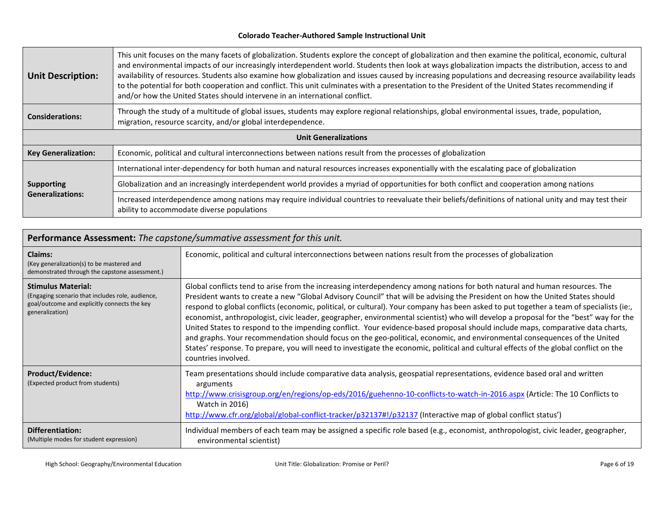| <b>Unit Description:</b>                     | This unit focuses on the many facets of globalization. Students explore the concept of globalization and then examine the political, economic, cultural<br>and environmental impacts of our increasingly interdependent world. Students then look at ways globalization impacts the distribution, access to and<br>availability of resources. Students also examine how globalization and issues caused by increasing populations and decreasing resource availability leads<br>to the potential for both cooperation and conflict. This unit culminates with a presentation to the President of the United States recommending if<br>and/or how the United States should intervene in an international conflict. |  |  |  |  |  |
|----------------------------------------------|-------------------------------------------------------------------------------------------------------------------------------------------------------------------------------------------------------------------------------------------------------------------------------------------------------------------------------------------------------------------------------------------------------------------------------------------------------------------------------------------------------------------------------------------------------------------------------------------------------------------------------------------------------------------------------------------------------------------|--|--|--|--|--|
| <b>Considerations:</b>                       | Through the study of a multitude of global issues, students may explore regional relationships, global environmental issues, trade, population,<br>migration, resource scarcity, and/or global interdependence.                                                                                                                                                                                                                                                                                                                                                                                                                                                                                                   |  |  |  |  |  |
|                                              | <b>Unit Generalizations</b>                                                                                                                                                                                                                                                                                                                                                                                                                                                                                                                                                                                                                                                                                       |  |  |  |  |  |
| <b>Key Generalization:</b>                   | Economic, political and cultural interconnections between nations result from the processes of globalization                                                                                                                                                                                                                                                                                                                                                                                                                                                                                                                                                                                                      |  |  |  |  |  |
|                                              | International inter-dependency for both human and natural resources increases exponentially with the escalating pace of globalization                                                                                                                                                                                                                                                                                                                                                                                                                                                                                                                                                                             |  |  |  |  |  |
| <b>Supporting</b><br><b>Generalizations:</b> | Globalization and an increasingly interdependent world provides a myriad of opportunities for both conflict and cooperation among nations                                                                                                                                                                                                                                                                                                                                                                                                                                                                                                                                                                         |  |  |  |  |  |
|                                              | Increased interdependence among nations may require individual countries to reevaluate their beliefs/definitions of national unity and may test their<br>ability to accommodate diverse populations                                                                                                                                                                                                                                                                                                                                                                                                                                                                                                               |  |  |  |  |  |

| Performance Assessment: The capstone/summative assessment for this unit.                                                                         |                                                                                                                                                                                                                                                                                                                                                                                                                                                                                                                                                                                                                                                                                                                                                                                                                                                                                                                                                                               |  |  |
|--------------------------------------------------------------------------------------------------------------------------------------------------|-------------------------------------------------------------------------------------------------------------------------------------------------------------------------------------------------------------------------------------------------------------------------------------------------------------------------------------------------------------------------------------------------------------------------------------------------------------------------------------------------------------------------------------------------------------------------------------------------------------------------------------------------------------------------------------------------------------------------------------------------------------------------------------------------------------------------------------------------------------------------------------------------------------------------------------------------------------------------------|--|--|
| <b>Claims:</b><br>(Key generalization(s) to be mastered and<br>demonstrated through the capstone assessment.)                                    | Economic, political and cultural interconnections between nations result from the processes of globalization                                                                                                                                                                                                                                                                                                                                                                                                                                                                                                                                                                                                                                                                                                                                                                                                                                                                  |  |  |
| <b>Stimulus Material:</b><br>(Engaging scenario that includes role, audience,<br>goal/outcome and explicitly connects the key<br>generalization) | Global conflicts tend to arise from the increasing interdependency among nations for both natural and human resources. The<br>President wants to create a new "Global Advisory Council" that will be advising the President on how the United States should<br>respond to global conflicts (economic, political, or cultural). Your company has been asked to put together a team of specialists (ie:,<br>economist, anthropologist, civic leader, geographer, environmental scientist) who will develop a proposal for the "best" way for the<br>United States to respond to the impending conflict. Your evidence-based proposal should include maps, comparative data charts,<br>and graphs. Your recommendation should focus on the geo-political, economic, and environmental consequences of the United<br>States' response. To prepare, you will need to investigate the economic, political and cultural effects of the global conflict on the<br>countries involved. |  |  |
| <b>Product/Evidence:</b><br>(Expected product from students)                                                                                     | Team presentations should include comparative data analysis, geospatial representations, evidence based oral and written<br>arguments<br>http://www.crisisgroup.org/en/regions/op-eds/2016/guehenno-10-conflicts-to-watch-in-2016.aspx (Article: The 10 Conflicts to<br>Watch in 2016)<br>http://www.cfr.org/global/global-conflict-tracker/p32137#!/p32137 (Interactive map of global conflict status')                                                                                                                                                                                                                                                                                                                                                                                                                                                                                                                                                                      |  |  |
| <b>Differentiation:</b><br>(Multiple modes for student expression)                                                                               | Individual members of each team may be assigned a specific role based (e.g., economist, anthropologist, civic leader, geographer,<br>environmental scientist)                                                                                                                                                                                                                                                                                                                                                                                                                                                                                                                                                                                                                                                                                                                                                                                                                 |  |  |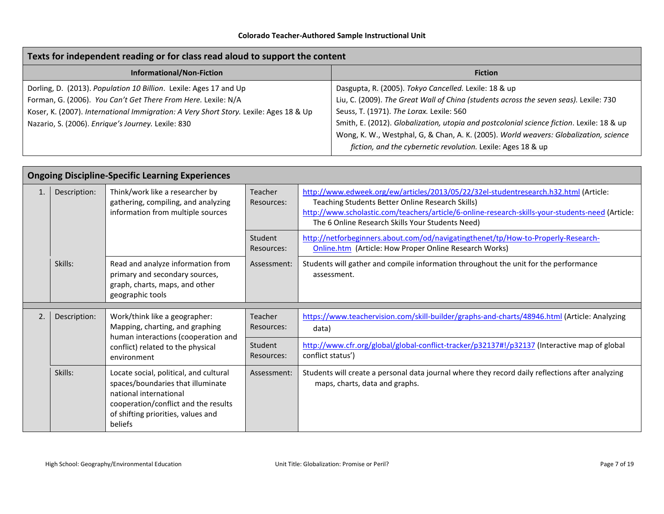| Texts for independent reading or for class read aloud to support the content          |                                                                                           |  |  |  |
|---------------------------------------------------------------------------------------|-------------------------------------------------------------------------------------------|--|--|--|
| <b>Informational/Non-Fiction</b>                                                      | <b>Fiction</b>                                                                            |  |  |  |
| Dorling, D. (2013). Population 10 Billion. Lexile: Ages 17 and Up                     | Dasgupta, R. (2005). Tokyo Cancelled. Lexile: 18 & up                                     |  |  |  |
| Forman, G. (2006). You Can't Get There From Here. Lexile: N/A                         | Liu, C. (2009). The Great Wall of China (students across the seven seas). Lexile: 730     |  |  |  |
| Koser, K. (2007). International Immigration: A Very Short Story. Lexile: Ages 18 & Up | Seuss, T. (1971). The Lorax. Lexile: 560                                                  |  |  |  |
| Nazario, S. (2006). Enrique's Journey. Lexile: 830                                    | Smith, E. (2012). Globalization, utopia and postcolonial science fiction. Lexile: 18 & up |  |  |  |
|                                                                                       | Wong, K. W., Westphal, G, & Chan, A. K. (2005). World weavers: Globalization, science     |  |  |  |
|                                                                                       | fiction, and the cybernetic revolution. Lexile: Ages 18 & up                              |  |  |  |

|    | <b>Ongoing Discipline-Specific Learning Experiences</b>                                                                                                                     |                                                                                                                                                                                                |                                                                                                                   |                                                                                                                                                                                                                                                                                                  |  |
|----|-----------------------------------------------------------------------------------------------------------------------------------------------------------------------------|------------------------------------------------------------------------------------------------------------------------------------------------------------------------------------------------|-------------------------------------------------------------------------------------------------------------------|--------------------------------------------------------------------------------------------------------------------------------------------------------------------------------------------------------------------------------------------------------------------------------------------------|--|
| 1. | Description:                                                                                                                                                                | Think/work like a researcher by<br>gathering, compiling, and analyzing<br>information from multiple sources                                                                                    | Teacher<br>Resources:                                                                                             | http://www.edweek.org/ew/articles/2013/05/22/32el-studentresearch.h32.html (Article:<br>Teaching Students Better Online Research Skills)<br>http://www.scholastic.com/teachers/article/6-online-research-skills-your-students-need (Article:<br>The 6 Online Research Skills Your Students Need) |  |
|    |                                                                                                                                                                             |                                                                                                                                                                                                | Student<br>Resources:                                                                                             | http://netforbeginners.about.com/od/navigatingthenet/tp/How-to-Properly-Research-<br>Online.htm (Article: How Proper Online Research Works)                                                                                                                                                      |  |
|    | Skills:                                                                                                                                                                     | Read and analyze information from<br>primary and secondary sources,<br>graph, charts, maps, and other<br>geographic tools                                                                      | Assessment:                                                                                                       | Students will gather and compile information throughout the unit for the performance<br>assessment.                                                                                                                                                                                              |  |
| 2. | Work/think like a geographer:<br>Description:<br>Mapping, charting, and graphing<br>human interactions (cooperation and<br>conflict) related to the physical<br>environment | Teacher<br>Resources:                                                                                                                                                                          | https://www.teachervision.com/skill-builder/graphs-and-charts/48946.html (Article: Analyzing<br>data)             |                                                                                                                                                                                                                                                                                                  |  |
|    |                                                                                                                                                                             | Student<br>Resources:                                                                                                                                                                          | http://www.cfr.org/global/global-conflict-tracker/p32137#!/p32137 (Interactive map of global<br>conflict status') |                                                                                                                                                                                                                                                                                                  |  |
|    | Skills:                                                                                                                                                                     | Locate social, political, and cultural<br>spaces/boundaries that illuminate<br>national international<br>cooperation/conflict and the results<br>of shifting priorities, values and<br>beliefs | Assessment:                                                                                                       | Students will create a personal data journal where they record daily reflections after analyzing<br>maps, charts, data and graphs.                                                                                                                                                               |  |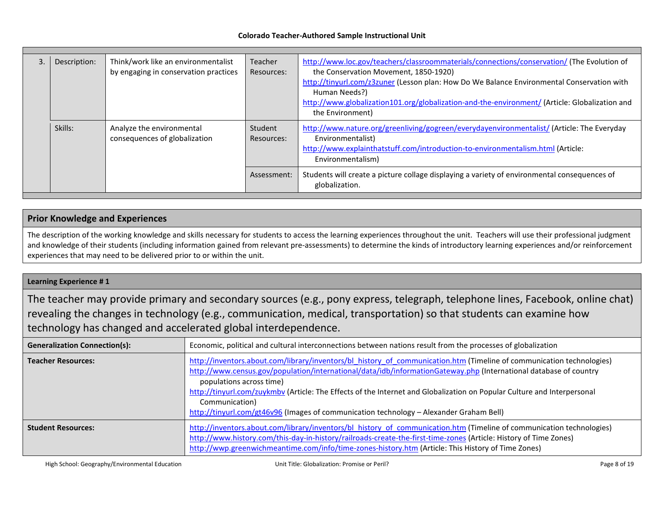| Description: | Think/work like an environmentalist<br>by engaging in conservation practices | Teacher<br>Resources: | http://www.loc.gov/teachers/classroommaterials/connections/conservation/ (The Evolution of<br>the Conservation Movement, 1850-1920)<br>http://tinyurl.com/z3zuner (Lesson plan: How Do We Balance Environmental Conservation with<br>Human Needs?)<br>http://www.globalization101.org/globalization-and-the-environment/ (Article: Globalization and<br>the Environment) |
|--------------|------------------------------------------------------------------------------|-----------------------|--------------------------------------------------------------------------------------------------------------------------------------------------------------------------------------------------------------------------------------------------------------------------------------------------------------------------------------------------------------------------|
| Skills:      | Analyze the environmental<br>consequences of globalization                   | Student<br>Resources: | http://www.nature.org/greenliving/gogreen/everydayenvironmentalist/ (Article: The Everyday<br>Environmentalist)<br>http://www.explainthatstuff.com/introduction-to-environmentalism.html (Article:<br>Environmentalism)                                                                                                                                                  |
|              |                                                                              | Assessment:           | Students will create a picture collage displaying a variety of environmental consequences of<br>globalization.                                                                                                                                                                                                                                                           |

#### **Prior Knowledge and Experiences**

The description of the working knowledge and skills necessary for students to access the learning experiences throughout the unit. Teachers will use their professional judgment and knowledge of their students (including information gained from relevant pre-assessments) to determine the kinds of introductory learning experiences and/or reinforcement experiences that may need to be delivered prior to or within the unit.

#### **Learning Experience # 1**

The teacher may provide primary and secondary sources (e.g., pony express, telegraph, telephone lines, Facebook, online chat) revealing the changes in technology (e.g., communication, medical, transportation) so that students can examine how technology has changed and accelerated global interdependence.

| <b>Generalization Connection(s):</b> | Economic, political and cultural interconnections between nations result from the processes of globalization                                                                                                                                                                                                                                                                                                                                                                                                   |
|--------------------------------------|----------------------------------------------------------------------------------------------------------------------------------------------------------------------------------------------------------------------------------------------------------------------------------------------------------------------------------------------------------------------------------------------------------------------------------------------------------------------------------------------------------------|
| <b>Teacher Resources:</b>            | http://inventors.about.com/library/inventors/bl history of communication.htm (Timeline of communication technologies)<br>http://www.census.gov/population/international/data/idb/informationGateway.php (International database of country<br>populations across time)<br>http://tinyurl.com/zuykmbv (Article: The Effects of the Internet and Globalization on Popular Culture and Interpersonal<br>Communication)<br>http://tinyurl.com/gt46v96 (Images of communication technology - Alexander Graham Bell) |
| <b>Student Resources:</b>            | http://inventors.about.com/library/inventors/bl history of communication.htm (Timeline of communication technologies)<br>http://www.history.com/this-day-in-history/railroads-create-the-first-time-zones (Article: History of Time Zones)<br>http://wwp.greenwichmeantime.com/info/time-zones-history.htm (Article: This History of Time Zones)                                                                                                                                                               |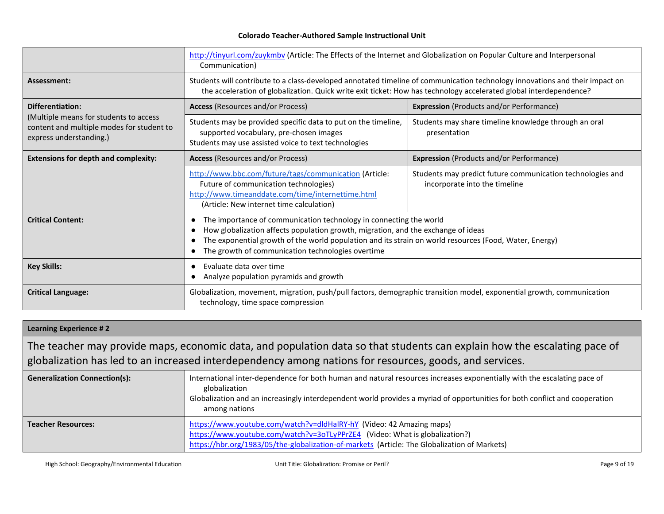|                                                                                                                | http://tinyurl.com/zuykmby (Article: The Effects of the Internet and Globalization on Popular Culture and Interpersonal<br>Communication)                                                                                                                                                                                     |                                                                                             |
|----------------------------------------------------------------------------------------------------------------|-------------------------------------------------------------------------------------------------------------------------------------------------------------------------------------------------------------------------------------------------------------------------------------------------------------------------------|---------------------------------------------------------------------------------------------|
| Assessment:                                                                                                    | Students will contribute to a class-developed annotated timeline of communication technology innovations and their impact on<br>the acceleration of globalization. Quick write exit ticket: How has technology accelerated global interdependence?                                                                            |                                                                                             |
| <b>Differentiation:</b>                                                                                        | <b>Access</b> (Resources and/or Process)<br><b>Expression</b> (Products and/or Performance)                                                                                                                                                                                                                                   |                                                                                             |
| (Multiple means for students to access<br>content and multiple modes for student to<br>express understanding.) | Students may be provided specific data to put on the timeline,<br>supported vocabulary, pre-chosen images<br>Students may use assisted voice to text technologies                                                                                                                                                             | Students may share timeline knowledge through an oral<br>presentation                       |
| <b>Extensions for depth and complexity:</b>                                                                    | <b>Access</b> (Resources and/or Process)                                                                                                                                                                                                                                                                                      | <b>Expression</b> (Products and/or Performance)                                             |
|                                                                                                                | http://www.bbc.com/future/tags/communication (Article:<br>Future of communication technologies)<br>http://www.timeanddate.com/time/internettime.html<br>(Article: New internet time calculation)                                                                                                                              | Students may predict future communication technologies and<br>incorporate into the timeline |
| <b>Critical Content:</b>                                                                                       | The importance of communication technology in connecting the world<br>How globalization affects population growth, migration, and the exchange of ideas<br>- 0<br>The exponential growth of the world population and its strain on world resources (Food, Water, Energy)<br>The growth of communication technologies overtime |                                                                                             |
| <b>Key Skills:</b>                                                                                             | Evaluate data over time<br>Analyze population pyramids and growth                                                                                                                                                                                                                                                             |                                                                                             |
| <b>Critical Language:</b>                                                                                      | Globalization, movement, migration, push/pull factors, demographic transition model, exponential growth, communication<br>technology, time space compression                                                                                                                                                                  |                                                                                             |

#### **Learning Experience # 2**

The teacher may provide maps, economic data, and population data so that students can explain how the escalating pace of globalization has led to an increased interdependency among nations for resources, goods, and services.

| Generalization Connection(s): | International inter-dependence for both human and natural resources increases exponentially with the escalating pace of<br>globalization<br>Globalization and an increasingly interdependent world provides a myriad of opportunities for both conflict and cooperation<br>among nations |
|-------------------------------|------------------------------------------------------------------------------------------------------------------------------------------------------------------------------------------------------------------------------------------------------------------------------------------|
| <b>Teacher Resources:</b>     | https://www.youtube.com/watch?v=dldHalRY-hY (Video: 42 Amazing maps)<br>https://www.youtube.com/watch?v=3oTLyPPrZE4 (Video: What is globalization?)<br>https://hbr.org/1983/05/the-globalization-of-markets (Article: The Globalization of Markets)                                      |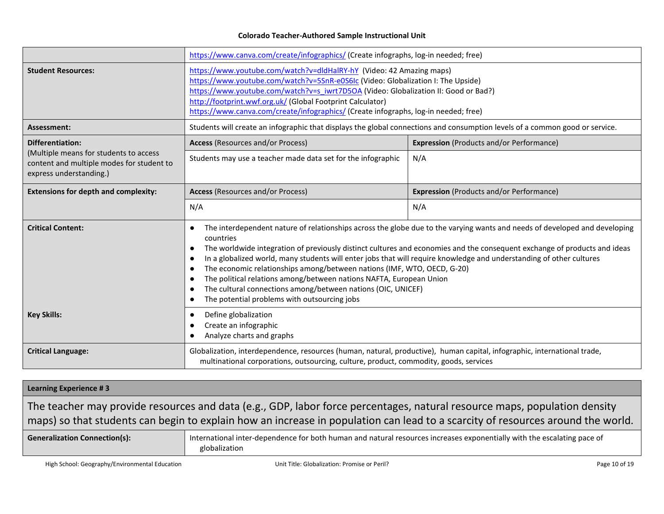|                                                                                                                | https://www.canva.com/create/infographics/ (Create infographs, log-in needed; free)                                                                                                                                                                                                                                                                                                                                                                                                                                                                                                                                                                                                                                                          |                                                 |
|----------------------------------------------------------------------------------------------------------------|----------------------------------------------------------------------------------------------------------------------------------------------------------------------------------------------------------------------------------------------------------------------------------------------------------------------------------------------------------------------------------------------------------------------------------------------------------------------------------------------------------------------------------------------------------------------------------------------------------------------------------------------------------------------------------------------------------------------------------------------|-------------------------------------------------|
| <b>Student Resources:</b>                                                                                      | https://www.youtube.com/watch?v=dldHalRY-hY (Video: 42 Amazing maps)<br>https://www.youtube.com/watch?v=5SnR-e0S6Ic (Video: Globalization I: The Upside)<br>https://www.youtube.com/watch?v=s_iwrt7D5OA (Video: Globalization II: Good or Bad?)<br>http://footprint.wwf.org.uk/ (Global Footprint Calculator)<br>https://www.canva.com/create/infographics/ (Create infographs, log-in needed; free)                                                                                                                                                                                                                                                                                                                                         |                                                 |
| Assessment:                                                                                                    | Students will create an infographic that displays the global connections and consumption levels of a common good or service.                                                                                                                                                                                                                                                                                                                                                                                                                                                                                                                                                                                                                 |                                                 |
| Differentiation:                                                                                               | <b>Expression</b> (Products and/or Performance)<br><b>Access</b> (Resources and/or Process)                                                                                                                                                                                                                                                                                                                                                                                                                                                                                                                                                                                                                                                  |                                                 |
| (Multiple means for students to access<br>content and multiple modes for student to<br>express understanding.) | Students may use a teacher made data set for the infographic                                                                                                                                                                                                                                                                                                                                                                                                                                                                                                                                                                                                                                                                                 | N/A                                             |
| <b>Extensions for depth and complexity:</b>                                                                    | <b>Access</b> (Resources and/or Process)                                                                                                                                                                                                                                                                                                                                                                                                                                                                                                                                                                                                                                                                                                     | <b>Expression</b> (Products and/or Performance) |
|                                                                                                                | N/A                                                                                                                                                                                                                                                                                                                                                                                                                                                                                                                                                                                                                                                                                                                                          | N/A                                             |
| <b>Critical Content:</b>                                                                                       | The interdependent nature of relationships across the globe due to the varying wants and needs of developed and developing<br>$\bullet$<br>countries<br>The worldwide integration of previously distinct cultures and economies and the consequent exchange of products and ideas<br>$\bullet$<br>In a globalized world, many students will enter jobs that will require knowledge and understanding of other cultures<br>$\bullet$<br>The economic relationships among/between nations (IMF, WTO, OECD, G-20)<br>$\bullet$<br>The political relations among/between nations NAFTA, European Union<br>The cultural connections among/between nations (OIC, UNICEF)<br>$\bullet$<br>The potential problems with outsourcing jobs<br>$\bullet$ |                                                 |
| <b>Key Skills:</b>                                                                                             | Define globalization<br>$\bullet$<br>Create an infographic<br>$\bullet$<br>Analyze charts and graphs<br>$\bullet$                                                                                                                                                                                                                                                                                                                                                                                                                                                                                                                                                                                                                            |                                                 |
| <b>Critical Language:</b>                                                                                      | Globalization, interdependence, resources (human, natural, productive), human capital, infographic, international trade,<br>multinational corporations, outsourcing, culture, product, commodity, goods, services                                                                                                                                                                                                                                                                                                                                                                                                                                                                                                                            |                                                 |

## **Learning Experience # 3** The teacher may provide resources and data (e.g., GDP, labor force percentages, natural resource maps, population density maps) so that students can begin to explain how an increase in population can lead to a scarcity of resources around the world. Generalization Connection(s): **International inter-dependence for both human and natural resources increases exponentially with the escalating pace of** globalization

High School: Geography/Environmental Education **Nation 2006** Unit Title: Globalization: Promise or Peril? Page 10 of 19 Page 10 of 19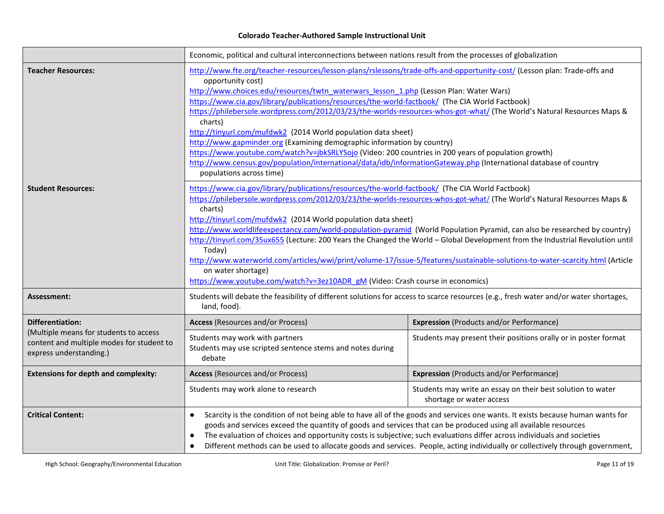|                                                                                                                | Economic, political and cultural interconnections between nations result from the processes of globalization                                                                                                                                                                                                                                                                                                                                                                                                                                                                                                                                                                                                                                                                                                                                                                           |                                                                                         |
|----------------------------------------------------------------------------------------------------------------|----------------------------------------------------------------------------------------------------------------------------------------------------------------------------------------------------------------------------------------------------------------------------------------------------------------------------------------------------------------------------------------------------------------------------------------------------------------------------------------------------------------------------------------------------------------------------------------------------------------------------------------------------------------------------------------------------------------------------------------------------------------------------------------------------------------------------------------------------------------------------------------|-----------------------------------------------------------------------------------------|
| Teacher Resources:                                                                                             | http://www.fte.org/teacher-resources/lesson-plans/rslessons/trade-offs-and-opportunity-cost/ (Lesson plan: Trade-offs and<br>opportunity cost)<br>http://www.choices.edu/resources/twtn waterwars lesson 1.php (Lesson Plan: Water Wars)<br>https://www.cia.gov/library/publications/resources/the-world-factbook/ (The CIA World Factbook)<br>https://philebersole.wordpress.com/2012/03/23/the-worlds-resources-whos-got-what/ (The World's Natural Resources Maps &<br>charts)<br>http://tinyurl.com/mufdwk2 (2014 World population data sheet)<br>http://www.gapminder.org (Examining demographic information by country)<br>https://www.youtube.com/watch?v=jbkSRLYSojo (Video: 200 countries in 200 years of population growth)<br>http://www.census.gov/population/international/data/idb/informationGateway.php (International database of country<br>populations across time) |                                                                                         |
| <b>Student Resources:</b>                                                                                      | https://www.cia.gov/library/publications/resources/the-world-factbook/ (The CIA World Factbook)<br>https://philebersole.wordpress.com/2012/03/23/the-worlds-resources-whos-got-what/ (The World's Natural Resources Maps &<br>charts)<br>http://tinyurl.com/mufdwk2 (2014 World population data sheet)<br>http://www.worldlifeexpectancy.com/world-population-pyramid (World Population Pyramid, can also be researched by country)<br>http://tinyurl.com/35ux655 (Lecture: 200 Years the Changed the World - Global Development from the Industrial Revolution until<br>Today)<br>http://www.waterworld.com/articles/wwi/print/volume-17/issue-5/features/sustainable-solutions-to-water-scarcity.html (Article<br>on water shortage)<br>https://www.youtube.com/watch?v=3ez10ADR gM (Video: Crash course in economics)                                                               |                                                                                         |
| Assessment:                                                                                                    | Students will debate the feasibility of different solutions for access to scarce resources (e.g., fresh water and/or water shortages,<br>land, food).                                                                                                                                                                                                                                                                                                                                                                                                                                                                                                                                                                                                                                                                                                                                  |                                                                                         |
| <b>Differentiation:</b>                                                                                        | <b>Access</b> (Resources and/or Process)                                                                                                                                                                                                                                                                                                                                                                                                                                                                                                                                                                                                                                                                                                                                                                                                                                               | <b>Expression</b> (Products and/or Performance)                                         |
| (Multiple means for students to access<br>content and multiple modes for student to<br>express understanding.) | Students may work with partners<br>Students may use scripted sentence stems and notes during<br>debate                                                                                                                                                                                                                                                                                                                                                                                                                                                                                                                                                                                                                                                                                                                                                                                 | Students may present their positions orally or in poster format                         |
| <b>Extensions for depth and complexity:</b>                                                                    | <b>Access</b> (Resources and/or Process)                                                                                                                                                                                                                                                                                                                                                                                                                                                                                                                                                                                                                                                                                                                                                                                                                                               | <b>Expression</b> (Products and/or Performance)                                         |
|                                                                                                                | Students may work alone to research                                                                                                                                                                                                                                                                                                                                                                                                                                                                                                                                                                                                                                                                                                                                                                                                                                                    | Students may write an essay on their best solution to water<br>shortage or water access |
| <b>Critical Content:</b>                                                                                       | Scarcity is the condition of not being able to have all of the goods and services one wants. It exists because human wants for<br>goods and services exceed the quantity of goods and services that can be produced using all available resources<br>The evaluation of choices and opportunity costs is subjective; such evaluations differ across individuals and societies<br>Different methods can be used to allocate goods and services. People, acting individually or collectively through government,<br>$\bullet$                                                                                                                                                                                                                                                                                                                                                             |                                                                                         |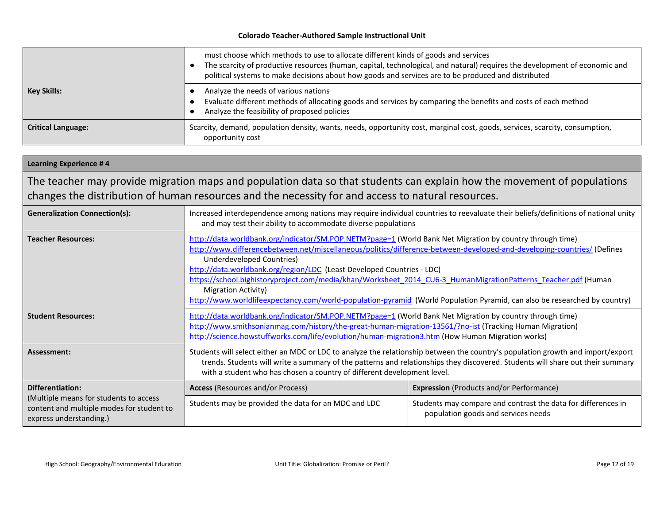|                           | must choose which methods to use to allocate different kinds of goods and services<br>The scarcity of productive resources (human, capital, technological, and natural) requires the development of economic and<br>political systems to make decisions about how goods and services are to be produced and distributed |
|---------------------------|-------------------------------------------------------------------------------------------------------------------------------------------------------------------------------------------------------------------------------------------------------------------------------------------------------------------------|
| <b>Key Skills:</b>        | Analyze the needs of various nations<br>Evaluate different methods of allocating goods and services by comparing the benefits and costs of each method<br>Analyze the feasibility of proposed policies                                                                                                                  |
| <b>Critical Language:</b> | Scarcity, demand, population density, wants, needs, opportunity cost, marginal cost, goods, services, scarcity, consumption,<br>opportunity cost                                                                                                                                                                        |

#### **Learning Experience # 4** The teacher may provide migration maps and population data so that students can explain how the movement of populations changes the distribution of human resources and the necessity for and access to natural resources. Generalization Connection(s):<br>
Increased interdependence among nations may require individual countries to reevaluate their beliefs/definitions of national unity and may test their ability to accommodate diverse populations **Teacher Resources:** <http://data.worldbank.org/indicator/SM.POP.NETM?page=1> (World Bank Net Migration by country through time) <http://www.differencebetween.net/miscellaneous/politics/difference-between-developed-and-developing-countries/> (Defines Underdeveloped Countries) <http://data.worldbank.org/region/LDC> (Least Developed Countries - LDC) [https://school.bighistoryproject.com/media/khan/Worksheet\\_2014\\_CU6-3\\_HumanMigrationPatterns\\_Teacher.pdf](https://school.bighistoryproject.com/media/khan/Worksheet_2014_CU6-3_HumanMigrationPatterns_Teacher.pdf) (Human Migration Activity) <http://www.worldlifeexpectancy.com/world-population-pyramid> (World Population Pyramid, can also be researched by country) **Student Resources:** <http://data.worldbank.org/indicator/SM.POP.NETM?page=1> (World Bank Net Migration by country through time) <http://www.smithsonianmag.com/history/the-great-human-migration-13561/?no-ist> (Tracking Human Migration) <http://science.howstuffworks.com/life/evolution/human-migration3.htm> (How Human Migration works) **Assessment:** Students will select either an MDC or LDC to analyze the relationship between the country's population growth and import/export trends. Students will write a summary of the patterns and relationships they discovered. Students will share out their summary with a student who has chosen a country of different development level. **Differentiation:** (Multiple means for students to access content and multiple modes for student to express understanding.) **Access** (Resources and/or Process) **Expression** (Products and/or Performance) Students may be provided the data for an MDC and LDC Students may compare and contrast the data for differences in population goods and services needs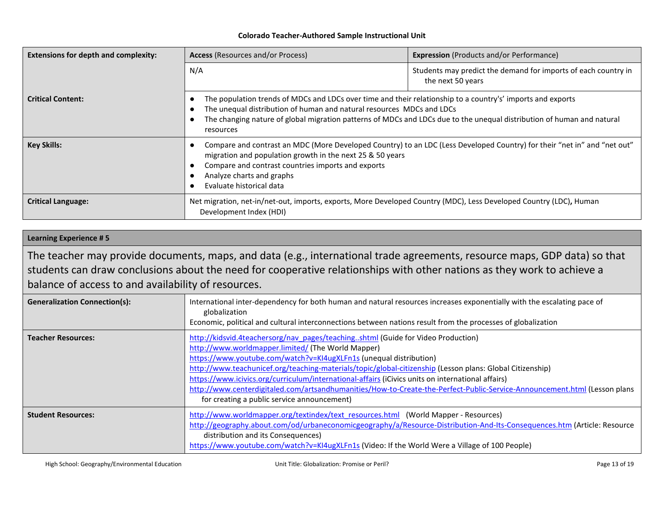| <b>Extensions for depth and complexity:</b> | <b>Access</b> (Resources and/or Process)                                                                                                                                                                                                                                                                                    | <b>Expression</b> (Products and/or Performance)                                     |
|---------------------------------------------|-----------------------------------------------------------------------------------------------------------------------------------------------------------------------------------------------------------------------------------------------------------------------------------------------------------------------------|-------------------------------------------------------------------------------------|
|                                             | N/A                                                                                                                                                                                                                                                                                                                         | Students may predict the demand for imports of each country in<br>the next 50 years |
| <b>Critical Content:</b>                    | The population trends of MDCs and LDCs over time and their relationship to a country's' imports and exports<br>The unequal distribution of human and natural resources MDCs and LDCs<br>The changing nature of global migration patterns of MDCs and LDCs due to the unequal distribution of human and natural<br>resources |                                                                                     |
| <b>Key Skills:</b>                          | Compare and contrast an MDC (More Developed Country) to an LDC (Less Developed Country) for their "net in" and "net out"<br>migration and population growth in the next 25 & 50 years<br>Compare and contrast countries imports and exports<br>Analyze charts and graphs<br>Evaluate historical data                        |                                                                                     |
| <b>Critical Language:</b>                   | Net migration, net-in/net-out, imports, exports, More Developed Country (MDC), Less Developed Country (LDC), Human<br>Development Index (HDI)                                                                                                                                                                               |                                                                                     |

#### **Learning Experience # 5**

The teacher may provide documents, maps, and data (e.g., international trade agreements, resource maps, GDP data) so that students can draw conclusions about the need for cooperative relationships with other nations as they work to achieve a balance of access to and availability of resources.

| <b>Generalization Connection(s):</b> | International inter-dependency for both human and natural resources increases exponentially with the escalating pace of<br>globalization<br>Economic, political and cultural interconnections between nations result from the processes of globalization                                                                                                                                                                                                                                                                                                                                                   |
|--------------------------------------|------------------------------------------------------------------------------------------------------------------------------------------------------------------------------------------------------------------------------------------------------------------------------------------------------------------------------------------------------------------------------------------------------------------------------------------------------------------------------------------------------------------------------------------------------------------------------------------------------------|
| <b>Teacher Resources:</b>            | http://kidsvid.4teachersorg/nav_pages/teachingshtml (Guide for Video Production)<br>http://www.worldmapper.limited/ (The World Mapper)<br>https://www.youtube.com/watch?v=KI4ugXLFn1s (unequal distribution)<br>http://www.teachunicef.org/teaching-materials/topic/global-citizenship (Lesson plans: Global Citizenship)<br>https://www.icivics.org/curriculum/international-affairs (iCivics units on international affairs)<br>http://www.centerdigitaled.com/artsandhumanities/How-to-Create-the-Perfect-Public-Service-Announcement.html (Lesson plans<br>for creating a public service announcement) |
| <b>Student Resources:</b>            | http://www.worldmapper.org/textindex/text_resources.html (World Mapper - Resources)<br>http://geography.about.com/od/urbaneconomicgeography/a/Resource-Distribution-And-Its-Consequences.htm (Article: Resource<br>distribution and its Consequences)<br>https://www.youtube.com/watch?v=KI4ugXLFn1s (Video: If the World Were a Village of 100 People)                                                                                                                                                                                                                                                    |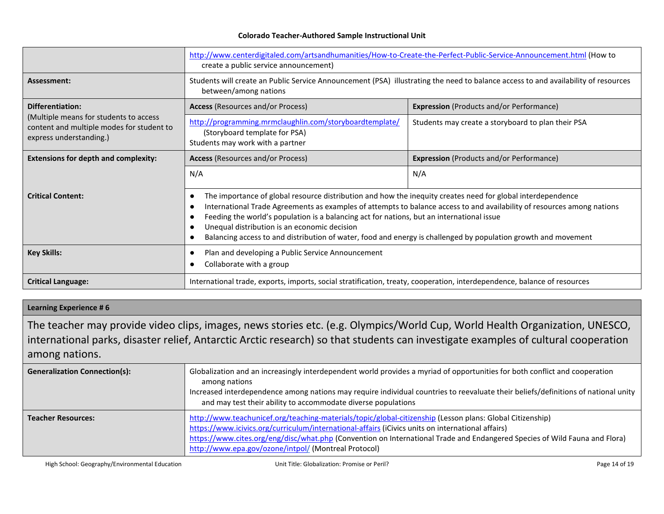|                                                                                                                | http://www.centerdigitaled.com/artsandhumanities/How-to-Create-the-Perfect-Public-Service-Announcement.html (How to<br>create a public service announcement)                                                                                                                                                                                                                                                                                                                                          |                                                    |
|----------------------------------------------------------------------------------------------------------------|-------------------------------------------------------------------------------------------------------------------------------------------------------------------------------------------------------------------------------------------------------------------------------------------------------------------------------------------------------------------------------------------------------------------------------------------------------------------------------------------------------|----------------------------------------------------|
| Assessment:                                                                                                    | Students will create an Public Service Announcement (PSA) illustrating the need to balance access to and availability of resources<br>between/among nations                                                                                                                                                                                                                                                                                                                                           |                                                    |
| <b>Differentiation:</b>                                                                                        | <b>Access</b> (Resources and/or Process)                                                                                                                                                                                                                                                                                                                                                                                                                                                              | <b>Expression</b> (Products and/or Performance)    |
| (Multiple means for students to access<br>content and multiple modes for student to<br>express understanding.) | http://programming.mrmclaughlin.com/storyboardtemplate/<br>(Storyboard template for PSA)<br>Students may work with a partner                                                                                                                                                                                                                                                                                                                                                                          | Students may create a storyboard to plan their PSA |
| <b>Extensions for depth and complexity:</b>                                                                    | <b>Access</b> (Resources and/or Process)                                                                                                                                                                                                                                                                                                                                                                                                                                                              | <b>Expression</b> (Products and/or Performance)    |
|                                                                                                                | N/A                                                                                                                                                                                                                                                                                                                                                                                                                                                                                                   | N/A                                                |
| <b>Critical Content:</b>                                                                                       | The importance of global resource distribution and how the inequity creates need for global interdependence<br>International Trade Agreements as examples of attempts to balance access to and availability of resources among nations<br>Feeding the world's population is a balancing act for nations, but an international issue<br>Unequal distribution is an economic decision<br>Balancing access to and distribution of water, food and energy is challenged by population growth and movement |                                                    |
| <b>Key Skills:</b>                                                                                             | Plan and developing a Public Service Announcement<br>Collaborate with a group                                                                                                                                                                                                                                                                                                                                                                                                                         |                                                    |
| <b>Critical Language:</b>                                                                                      | International trade, exports, imports, social stratification, treaty, cooperation, interdependence, balance of resources                                                                                                                                                                                                                                                                                                                                                                              |                                                    |

#### **Learning Experience # 6**

The teacher may provide video clips, images, news stories etc. (e.g. Olympics/World Cup, World Health Organization, UNESCO, international parks, disaster relief, Antarctic Arctic research) so that students can investigate examples of cultural cooperation among nations.

| <b>Generalization Connection(s):</b> | Globalization and an increasingly interdependent world provides a myriad of opportunities for both conflict and cooperation<br>among nations<br>Increased interdependence among nations may require individual countries to reevaluate their beliefs/definitions of national unity<br>and may test their ability to accommodate diverse populations                                                  |  |
|--------------------------------------|------------------------------------------------------------------------------------------------------------------------------------------------------------------------------------------------------------------------------------------------------------------------------------------------------------------------------------------------------------------------------------------------------|--|
| <b>Teacher Resources:</b>            | http://www.teachunicef.org/teaching-materials/topic/global-citizenship (Lesson plans: Global Citizenship)<br>https://www.icivics.org/curriculum/international-affairs (iCivics units on international affairs)<br>https://www.cites.org/eng/disc/what.php (Convention on International Trade and Endangered Species of Wild Fauna and Flora)<br>http://www.epa.gov/ozone/intpol/ (Montreal Protocol) |  |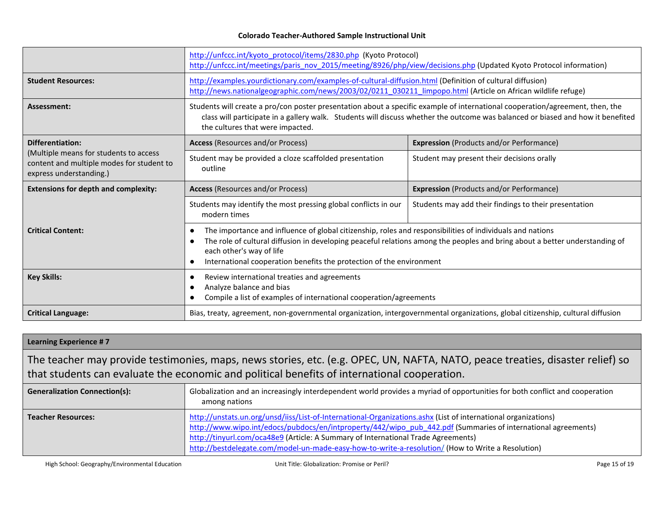|                                                                                                                | http://unfccc.int/kyoto_protocol/items/2830.php (Kyoto Protocol)<br>http://unfccc.int/meetings/paris_nov_2015/meeting/8926/php/view/decisions.php (Updated Kyoto Protocol information)                                                                                                               |                                                                                                                             |
|----------------------------------------------------------------------------------------------------------------|------------------------------------------------------------------------------------------------------------------------------------------------------------------------------------------------------------------------------------------------------------------------------------------------------|-----------------------------------------------------------------------------------------------------------------------------|
| <b>Student Resources:</b>                                                                                      | http://examples.yourdictionary.com/examples-of-cultural-diffusion.html (Definition of cultural diffusion)<br>http://news.nationalgeographic.com/news/2003/02/0211 030211 limpopo.html (Article on African wildlife refuge)                                                                           |                                                                                                                             |
| Assessment:                                                                                                    | Students will create a pro/con poster presentation about a specific example of international cooperation/agreement, then, the<br>class will participate in a gallery walk. Students will discuss whether the outcome was balanced or biased and how it benefited<br>the cultures that were impacted. |                                                                                                                             |
| Differentiation:                                                                                               | <b>Access</b> (Resources and/or Process)                                                                                                                                                                                                                                                             | <b>Expression</b> (Products and/or Performance)                                                                             |
| (Multiple means for students to access<br>content and multiple modes for student to<br>express understanding.) | Student may be provided a cloze scaffolded presentation<br>outline                                                                                                                                                                                                                                   | Student may present their decisions orally                                                                                  |
|                                                                                                                |                                                                                                                                                                                                                                                                                                      |                                                                                                                             |
| <b>Extensions for depth and complexity:</b>                                                                    | <b>Access</b> (Resources and/or Process)                                                                                                                                                                                                                                                             | <b>Expression</b> (Products and/or Performance)                                                                             |
|                                                                                                                | Students may identify the most pressing global conflicts in our<br>modern times                                                                                                                                                                                                                      | Students may add their findings to their presentation                                                                       |
| <b>Critical Content:</b>                                                                                       | The importance and influence of global citizenship, roles and responsibilities of individuals and nations<br>$\bullet$<br>each other's way of life<br>International cooperation benefits the protection of the environment<br>$\bullet$                                                              | The role of cultural diffusion in developing peaceful relations among the peoples and bring about a better understanding of |
| <b>Key Skills:</b>                                                                                             | Review international treaties and agreements<br>Analyze balance and bias<br>Compile a list of examples of international cooperation/agreements                                                                                                                                                       |                                                                                                                             |

| Learning Experience #7                                                                                                                                                                                                         |                                                                                                                                                                                                                                                                                                                                                                                                                           |  |
|--------------------------------------------------------------------------------------------------------------------------------------------------------------------------------------------------------------------------------|---------------------------------------------------------------------------------------------------------------------------------------------------------------------------------------------------------------------------------------------------------------------------------------------------------------------------------------------------------------------------------------------------------------------------|--|
| The teacher may provide testimonies, maps, news stories, etc. (e.g. OPEC, UN, NAFTA, NATO, peace treaties, disaster relief) so<br>that students can evaluate the economic and political benefits of international cooperation. |                                                                                                                                                                                                                                                                                                                                                                                                                           |  |
| <b>Generalization Connection(s):</b>                                                                                                                                                                                           | Globalization and an increasingly interdependent world provides a myriad of opportunities for both conflict and cooperation<br>among nations                                                                                                                                                                                                                                                                              |  |
| <b>Teacher Resources:</b>                                                                                                                                                                                                      | http://unstats.un.org/unsd/iiss/List-of-International-Organizations.ashx (List of international organizations)<br>http://www.wipo.int/edocs/pubdocs/en/intproperty/442/wipo_pub_442.pdf (Summaries of international agreements)<br>http://tinyurl.com/oca48e9 (Article: A Summary of International Trade Agreements)<br>http://bestdelegate.com/model-un-made-easy-how-to-write-a-resolution/ (How to Write a Resolution) |  |

High School: Geography/Environmental Education **Nation** Unit Title: Globalization: Promise or Peril? Page 15 of 19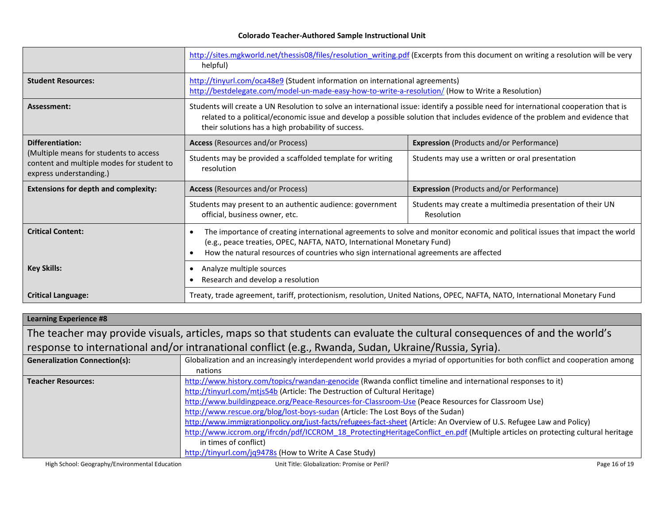|                                                                                                                | http://sites.mgkworld.net/thessis08/files/resolution writing.pdf (Excerpts from this document on writing a resolution will be very<br>helpful)                                                                                                                                                                              |                                                                         |
|----------------------------------------------------------------------------------------------------------------|-----------------------------------------------------------------------------------------------------------------------------------------------------------------------------------------------------------------------------------------------------------------------------------------------------------------------------|-------------------------------------------------------------------------|
| <b>Student Resources:</b>                                                                                      | http://tinyurl.com/oca48e9 (Student information on international agreements)<br>http://bestdelegate.com/model-un-made-easy-how-to-write-a-resolution/ (How to Write a Resolution)                                                                                                                                           |                                                                         |
| Assessment:                                                                                                    | Students will create a UN Resolution to solve an international issue: identify a possible need for international cooperation that is<br>related to a political/economic issue and develop a possible solution that includes evidence of the problem and evidence that<br>their solutions has a high probability of success. |                                                                         |
| <b>Differentiation:</b>                                                                                        | <b>Access</b> (Resources and/or Process)                                                                                                                                                                                                                                                                                    | <b>Expression</b> (Products and/or Performance)                         |
| (Multiple means for students to access<br>content and multiple modes for student to<br>express understanding.) | Students may be provided a scaffolded template for writing<br>resolution                                                                                                                                                                                                                                                    | Students may use a written or oral presentation                         |
| <b>Extensions for depth and complexity:</b>                                                                    | <b>Access</b> (Resources and/or Process)<br><b>Expression</b> (Products and/or Performance)                                                                                                                                                                                                                                 |                                                                         |
|                                                                                                                | Students may present to an authentic audience: government<br>official, business owner, etc.                                                                                                                                                                                                                                 | Students may create a multimedia presentation of their UN<br>Resolution |
| <b>Critical Content:</b>                                                                                       | The importance of creating international agreements to solve and monitor economic and political issues that impact the world<br>$\bullet$<br>(e.g., peace treaties, OPEC, NAFTA, NATO, International Monetary Fund)<br>How the natural resources of countries who sign international agreements are affected<br>$\bullet$   |                                                                         |
| <b>Key Skills:</b>                                                                                             | Analyze multiple sources<br>$\bullet$<br>Research and develop a resolution                                                                                                                                                                                                                                                  |                                                                         |
| <b>Critical Language:</b>                                                                                      | Treaty, trade agreement, tariff, protectionism, resolution, United Nations, OPEC, NAFTA, NATO, International Monetary Fund                                                                                                                                                                                                  |                                                                         |

| <b>Learning Experience #8</b>                                                                                              |                                                                                                                                   |               |  |  |
|----------------------------------------------------------------------------------------------------------------------------|-----------------------------------------------------------------------------------------------------------------------------------|---------------|--|--|
| The teacher may provide visuals, articles, maps so that students can evaluate the cultural consequences of and the world's |                                                                                                                                   |               |  |  |
| response to international and/or intranational conflict (e.g., Rwanda, Sudan, Ukraine/Russia, Syria).                      |                                                                                                                                   |               |  |  |
| <b>Generalization Connection(s):</b>                                                                                       | Globalization and an increasingly interdependent world provides a myriad of opportunities for both conflict and cooperation among |               |  |  |
|                                                                                                                            | nations                                                                                                                           |               |  |  |
| <b>Teacher Resources:</b>                                                                                                  | http://www.history.com/topics/rwandan-genocide (Rwanda conflict timeline and international responses to it)                       |               |  |  |
|                                                                                                                            | http://tinyurl.com/mtjs54b (Article: The Destruction of Cultural Heritage)                                                        |               |  |  |
|                                                                                                                            | http://www.buildingpeace.org/Peace-Resources-for-Classroom-Use (Peace Resources for Classroom Use)                                |               |  |  |
|                                                                                                                            | http://www.rescue.org/blog/lost-boys-sudan (Article: The Lost Boys of the Sudan)                                                  |               |  |  |
|                                                                                                                            | http://www.immigrationpolicy.org/just-facts/refugees-fact-sheet (Article: An Overview of U.S. Refugee Law and Policy)             |               |  |  |
|                                                                                                                            | http://www.iccrom.org/ifrcdn/pdf/ICCROM 18 ProtectingHeritageConflict en.pdf (Multiple articles on protecting cultural heritage   |               |  |  |
|                                                                                                                            | in times of conflict)                                                                                                             |               |  |  |
|                                                                                                                            | http://tinyurl.com/jq9478s (How to Write A Case Study)                                                                            |               |  |  |
| High School: Geography/Environmental Education                                                                             | Unit Title: Globalization: Promise or Peril?                                                                                      | Page 16 of 19 |  |  |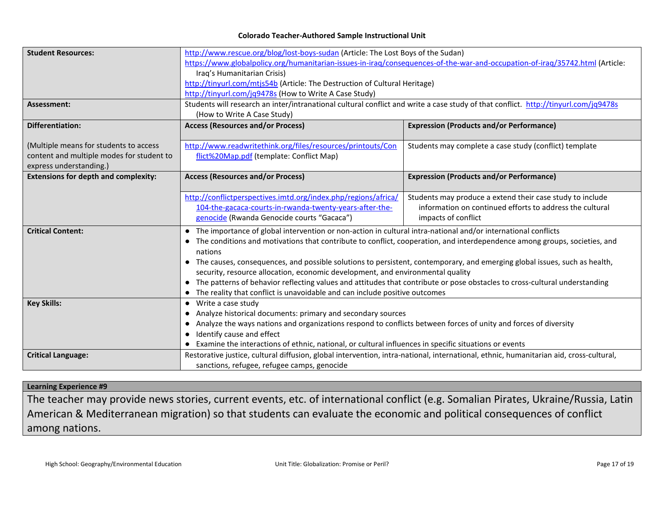| <b>Student Resources:</b>                   | http://www.rescue.org/blog/lost-boys-sudan (Article: The Lost Boys of the Sudan)                                                       |                                                           |  |
|---------------------------------------------|----------------------------------------------------------------------------------------------------------------------------------------|-----------------------------------------------------------|--|
|                                             | https://www.globalpolicy.org/humanitarian-issues-in-iraq/consequences-of-the-war-and-occupation-of-iraq/35742.html (Article:           |                                                           |  |
|                                             | Iraq's Humanitarian Crisis)                                                                                                            |                                                           |  |
|                                             | http://tinyurl.com/mtjs54b (Article: The Destruction of Cultural Heritage)                                                             |                                                           |  |
|                                             | http://tinyurl.com/jq9478s (How to Write A Case Study)                                                                                 |                                                           |  |
| Assessment:                                 | Students will research an inter/intranational cultural conflict and write a case study of that conflict. http://tinyurl.com/jq9478s    |                                                           |  |
|                                             | (How to Write A Case Study)                                                                                                            |                                                           |  |
| <b>Differentiation:</b>                     | <b>Access (Resources and/or Process)</b>                                                                                               | <b>Expression (Products and/or Performance)</b>           |  |
|                                             |                                                                                                                                        |                                                           |  |
| (Multiple means for students to access      | http://www.readwritethink.org/files/resources/printouts/Con                                                                            | Students may complete a case study (conflict) template    |  |
| content and multiple modes for student to   | flict%20Map.pdf (template: Conflict Map)                                                                                               |                                                           |  |
| express understanding.)                     |                                                                                                                                        |                                                           |  |
| <b>Extensions for depth and complexity:</b> | <b>Access (Resources and/or Process)</b>                                                                                               | <b>Expression (Products and/or Performance)</b>           |  |
|                                             |                                                                                                                                        |                                                           |  |
|                                             | http://conflictperspectives.imtd.org/index.php/regions/africa/                                                                         | Students may produce a extend their case study to include |  |
|                                             | 104-the-gacaca-courts-in-rwanda-twenty-years-after-the-                                                                                | information on continued efforts to address the cultural  |  |
|                                             | genocide (Rwanda Genocide courts "Gacaca")                                                                                             | impacts of conflict                                       |  |
| <b>Critical Content:</b>                    | The importance of global intervention or non-action in cultural intra-national and/or international conflicts<br>$\bullet$             |                                                           |  |
|                                             | The conditions and motivations that contribute to conflict, cooperation, and interdependence among groups, societies, and              |                                                           |  |
|                                             | nations                                                                                                                                |                                                           |  |
|                                             | • The causes, consequences, and possible solutions to persistent, contemporary, and emerging global issues, such as health,            |                                                           |  |
|                                             | security, resource allocation, economic development, and environmental quality                                                         |                                                           |  |
|                                             | • The patterns of behavior reflecting values and attitudes that contribute or pose obstacles to cross-cultural understanding           |                                                           |  |
|                                             | The reality that conflict is unavoidable and can include positive outcomes                                                             |                                                           |  |
| <b>Key Skills:</b>                          | Write a case study<br>$\bullet$                                                                                                        |                                                           |  |
|                                             | • Analyze historical documents: primary and secondary sources                                                                          |                                                           |  |
|                                             | Analyze the ways nations and organizations respond to conflicts between forces of unity and forces of diversity<br>$\bullet$           |                                                           |  |
|                                             | Identify cause and effect                                                                                                              |                                                           |  |
|                                             | Examine the interactions of ethnic, national, or cultural influences in specific situations or events                                  |                                                           |  |
| <b>Critical Language:</b>                   | Restorative justice, cultural diffusion, global intervention, intra-national, international, ethnic, humanitarian aid, cross-cultural, |                                                           |  |
|                                             | sanctions, refugee, refugee camps, genocide                                                                                            |                                                           |  |

### **Learning Experience #9**

The teacher may provide news stories, current events, etc. of international conflict (e.g. Somalian Pirates, Ukraine/Russia, Latin American & Mediterranean migration) so that students can evaluate the economic and political consequences of conflict among nations.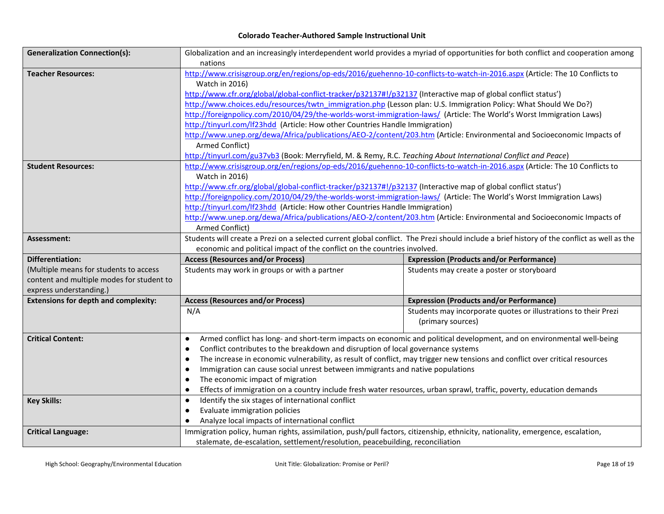| <b>Generalization Connection(s):</b>        | Globalization and an increasingly interdependent world provides a myriad of opportunities for both conflict and cooperation among |                                                                                                                                             |  |
|---------------------------------------------|-----------------------------------------------------------------------------------------------------------------------------------|---------------------------------------------------------------------------------------------------------------------------------------------|--|
|                                             | nations                                                                                                                           |                                                                                                                                             |  |
| <b>Teacher Resources:</b>                   | http://www.crisisgroup.org/en/regions/op-eds/2016/guehenno-10-conflicts-to-watch-in-2016.aspx (Article: The 10 Conflicts to       |                                                                                                                                             |  |
|                                             | Watch in 2016)                                                                                                                    |                                                                                                                                             |  |
|                                             | http://www.cfr.org/global/global-conflict-tracker/p32137#!/p32137 (Interactive map of global conflict status')                    |                                                                                                                                             |  |
|                                             | http://www.choices.edu/resources/twtn_immigration.php (Lesson plan: U.S. Immigration Policy: What Should We Do?)                  |                                                                                                                                             |  |
|                                             | http://foreignpolicy.com/2010/04/29/the-worlds-worst-immigration-laws/ (Article: The World's Worst Immigration Laws)              |                                                                                                                                             |  |
|                                             | http://tinyurl.com/lf23hdd (Article: How other Countries Handle Immigration)                                                      |                                                                                                                                             |  |
|                                             | http://www.unep.org/dewa/Africa/publications/AEO-2/content/203.htm (Article: Environmental and Socioeconomic Impacts of           |                                                                                                                                             |  |
|                                             | Armed Conflict)                                                                                                                   |                                                                                                                                             |  |
|                                             | http://tinyurl.com/gu37vb3 (Book: Merryfield, M. & Remy, R.C. Teaching About International Conflict and Peace)                    |                                                                                                                                             |  |
| <b>Student Resources:</b>                   | http://www.crisisgroup.org/en/regions/op-eds/2016/guehenno-10-conflicts-to-watch-in-2016.aspx (Article: The 10 Conflicts to       |                                                                                                                                             |  |
|                                             | Watch in 2016)                                                                                                                    |                                                                                                                                             |  |
|                                             | http://www.cfr.org/global/global-conflict-tracker/p32137#!/p32137 (Interactive map of global conflict status')                    |                                                                                                                                             |  |
|                                             | http://foreignpolicy.com/2010/04/29/the-worlds-worst-immigration-laws/ (Article: The World's Worst Immigration Laws)              |                                                                                                                                             |  |
|                                             | http://tinyurl.com/lf23hdd (Article: How other Countries Handle Immigration)                                                      |                                                                                                                                             |  |
|                                             | http://www.unep.org/dewa/Africa/publications/AEO-2/content/203.htm (Article: Environmental and Socioeconomic Impacts of           |                                                                                                                                             |  |
|                                             | Armed Conflict)                                                                                                                   |                                                                                                                                             |  |
| Assessment:                                 |                                                                                                                                   | Students will create a Prezi on a selected current global conflict. The Prezi should include a brief history of the conflict as well as the |  |
|                                             | economic and political impact of the conflict on the countries involved.                                                          |                                                                                                                                             |  |
| <b>Differentiation:</b>                     | <b>Access (Resources and/or Process)</b>                                                                                          | <b>Expression (Products and/or Performance)</b>                                                                                             |  |
| (Multiple means for students to access      | Students may work in groups or with a partner                                                                                     | Students may create a poster or storyboard                                                                                                  |  |
| content and multiple modes for student to   |                                                                                                                                   |                                                                                                                                             |  |
| express understanding.)                     |                                                                                                                                   |                                                                                                                                             |  |
| <b>Extensions for depth and complexity:</b> | <b>Access (Resources and/or Process)</b>                                                                                          | <b>Expression (Products and/or Performance)</b>                                                                                             |  |
|                                             | N/A                                                                                                                               | Students may incorporate quotes or illustrations to their Prezi                                                                             |  |
|                                             |                                                                                                                                   | (primary sources)                                                                                                                           |  |
| <b>Critical Content:</b>                    | $\bullet$                                                                                                                         | Armed conflict has long- and short-term impacts on economic and political development, and on environmental well-being                      |  |
|                                             | Conflict contributes to the breakdown and disruption of local governance systems<br>$\bullet$                                     |                                                                                                                                             |  |
|                                             | $\bullet$                                                                                                                         | The increase in economic vulnerability, as result of conflict, may trigger new tensions and conflict over critical resources                |  |
|                                             | Immigration can cause social unrest between immigrants and native populations<br>$\bullet$                                        |                                                                                                                                             |  |
|                                             | The economic impact of migration<br>$\bullet$                                                                                     |                                                                                                                                             |  |
|                                             | Effects of immigration on a country include fresh water resources, urban sprawl, traffic, poverty, education demands              |                                                                                                                                             |  |
| <b>Key Skills:</b>                          | Identify the six stages of international conflict<br>$\bullet$                                                                    |                                                                                                                                             |  |
|                                             | Evaluate immigration policies<br>$\bullet$                                                                                        |                                                                                                                                             |  |
|                                             | Analyze local impacts of international conflict                                                                                   |                                                                                                                                             |  |
| <b>Critical Language:</b>                   | Immigration policy, human rights, assimilation, push/pull factors, citizenship, ethnicity, nationality, emergence, escalation,    |                                                                                                                                             |  |
|                                             |                                                                                                                                   |                                                                                                                                             |  |